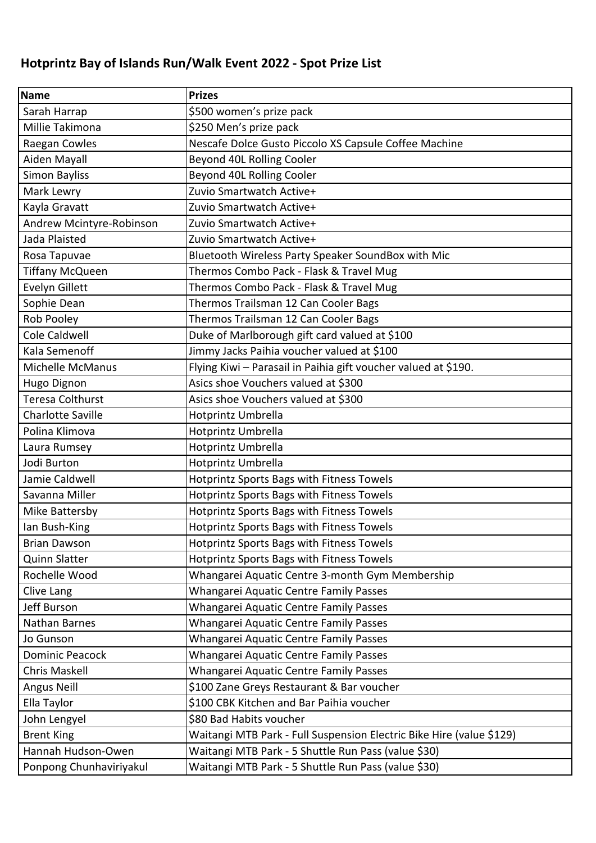## **Hotprintz Bay of Islands Run/Walk Event 2022 - Spot Prize List**

| <b>Name</b>              | <b>Prizes</b>                                                        |
|--------------------------|----------------------------------------------------------------------|
| Sarah Harrap             | \$500 women's prize pack                                             |
| Millie Takimona          | \$250 Men's prize pack                                               |
| Raegan Cowles            | Nescafe Dolce Gusto Piccolo XS Capsule Coffee Machine                |
| Aiden Mayall             | Beyond 40L Rolling Cooler                                            |
| <b>Simon Bayliss</b>     | Beyond 40L Rolling Cooler                                            |
| Mark Lewry               | Zuvio Smartwatch Active+                                             |
| Kayla Gravatt            | Zuvio Smartwatch Active+                                             |
| Andrew Mcintyre-Robinson | Zuvio Smartwatch Active+                                             |
| Jada Plaisted            | Zuvio Smartwatch Active+                                             |
| Rosa Tapuvae             | Bluetooth Wireless Party Speaker SoundBox with Mic                   |
| <b>Tiffany McQueen</b>   | Thermos Combo Pack - Flask & Travel Mug                              |
| Evelyn Gillett           | Thermos Combo Pack - Flask & Travel Mug                              |
| Sophie Dean              | Thermos Trailsman 12 Can Cooler Bags                                 |
| Rob Pooley               | Thermos Trailsman 12 Can Cooler Bags                                 |
| Cole Caldwell            | Duke of Marlborough gift card valued at \$100                        |
| Kala Semenoff            | Jimmy Jacks Paihia voucher valued at \$100                           |
| Michelle McManus         | Flying Kiwi - Parasail in Paihia gift voucher valued at \$190.       |
| Hugo Dignon              | Asics shoe Vouchers valued at \$300                                  |
| <b>Teresa Colthurst</b>  | Asics shoe Vouchers valued at \$300                                  |
| <b>Charlotte Saville</b> | Hotprintz Umbrella                                                   |
| Polina Klimova           | Hotprintz Umbrella                                                   |
| Laura Rumsey             | Hotprintz Umbrella                                                   |
| Jodi Burton              | Hotprintz Umbrella                                                   |
| Jamie Caldwell           | Hotprintz Sports Bags with Fitness Towels                            |
| Savanna Miller           | Hotprintz Sports Bags with Fitness Towels                            |
| Mike Battersby           | Hotprintz Sports Bags with Fitness Towels                            |
| lan Bush-King            | Hotprintz Sports Bags with Fitness Towels                            |
| <b>Brian Dawson</b>      | Hotprintz Sports Bags with Fitness Towels                            |
| <b>Quinn Slatter</b>     | Hotprintz Sports Bags with Fitness Towels                            |
| Rochelle Wood            | Whangarei Aquatic Centre 3-month Gym Membership                      |
| Clive Lang               | Whangarei Aquatic Centre Family Passes                               |
| Jeff Burson              | Whangarei Aquatic Centre Family Passes                               |
| Nathan Barnes            | Whangarei Aquatic Centre Family Passes                               |
| Jo Gunson                | Whangarei Aquatic Centre Family Passes                               |
| <b>Dominic Peacock</b>   | Whangarei Aquatic Centre Family Passes                               |
| Chris Maskell            | Whangarei Aquatic Centre Family Passes                               |
| Angus Neill              | \$100 Zane Greys Restaurant & Bar voucher                            |
| Ella Taylor              | \$100 CBK Kitchen and Bar Paihia voucher                             |
| John Lengyel             | \$80 Bad Habits voucher                                              |
| <b>Brent King</b>        | Waitangi MTB Park - Full Suspension Electric Bike Hire (value \$129) |
| Hannah Hudson-Owen       | Waitangi MTB Park - 5 Shuttle Run Pass (value \$30)                  |
| Ponpong Chunhaviriyakul  | Waitangi MTB Park - 5 Shuttle Run Pass (value \$30)                  |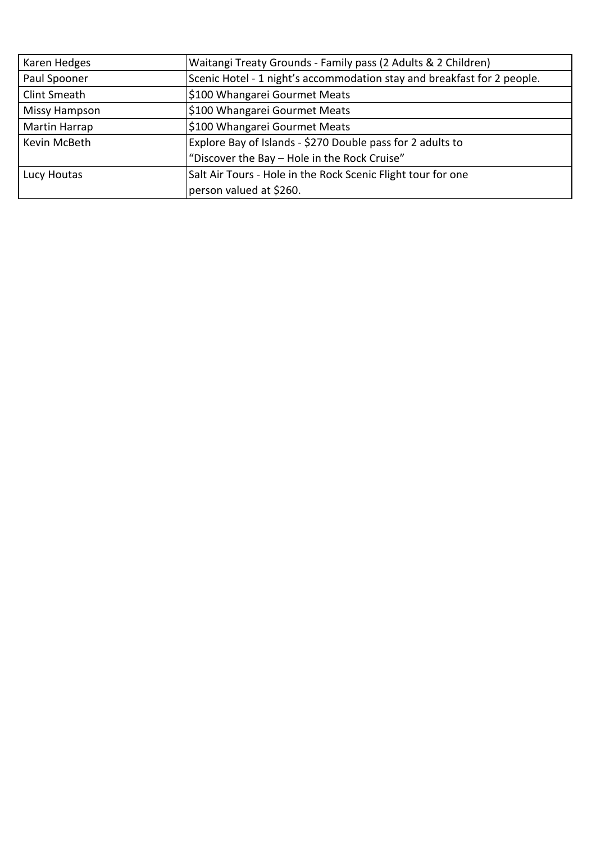| Karen Hedges         | Waitangi Treaty Grounds - Family pass (2 Adults & 2 Children)           |
|----------------------|-------------------------------------------------------------------------|
| Paul Spooner         | Scenic Hotel - 1 night's accommodation stay and breakfast for 2 people. |
| Clint Smeath         | \$100 Whangarei Gourmet Meats                                           |
| Missy Hampson        | \$100 Whangarei Gourmet Meats                                           |
| <b>Martin Harrap</b> | \$100 Whangarei Gourmet Meats                                           |
| Kevin McBeth         | Explore Bay of Islands - \$270 Double pass for 2 adults to              |
|                      | "Discover the Bay - Hole in the Rock Cruise"                            |
| Lucy Houtas          | Salt Air Tours - Hole in the Rock Scenic Flight tour for one            |
|                      | person valued at \$260.                                                 |